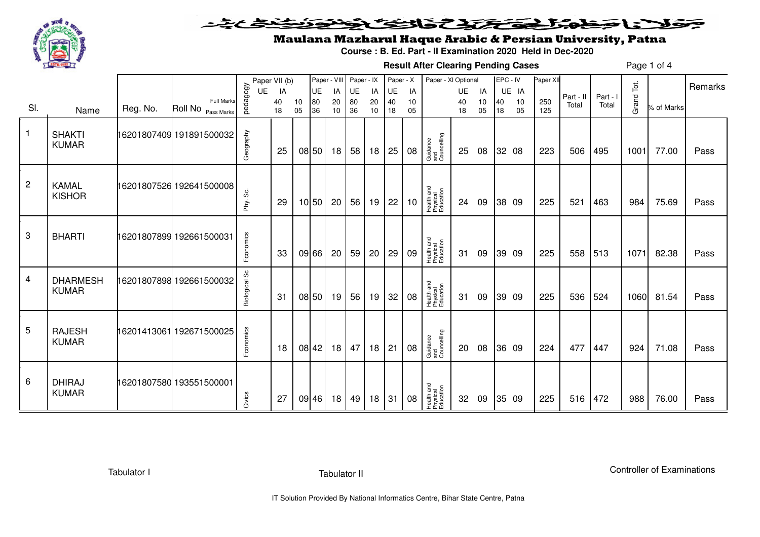

### فلانا يجفه ليختص والث ونوذ みくる

# Maulana Mazharul Haque Arabic & Persian University, Patna

**Course : B. Ed. Part - II Examination 2020 Held in Dec-2020**

**Result After Clearing Pending Cases**

Page 1 of 4

|                 |                                 |          |                          |               | Paper VII (b) |    | Paper - VIII |                 |           | Paper - IX |    | Paper - X | Paper - XI Optional                 |    |    | EPC - IV |       | Paper XII |                    |                 |            |            |         |
|-----------------|---------------------------------|----------|--------------------------|---------------|---------------|----|--------------|-----------------|-----------|------------|----|-----------|-------------------------------------|----|----|----------|-------|-----------|--------------------|-----------------|------------|------------|---------|
|                 |                                 |          |                          | <b>UE</b>     | IA            |    | <b>UE</b>    | IA              | <b>UE</b> | IA         | UE | IA        |                                     | UE | IA |          | UE IA |           |                    |                 |            |            | Remarks |
| SI.             |                                 |          | Full Marks               | pedagogy      | 40            | 10 | 80           | 20              | 80        | 20         | 40 | 10        |                                     | 40 | 10 | 40       | 10    | 250       | Part - II<br>Total | Part -<br>Total | Grand Tot. | % of Marks |         |
|                 | Name                            | Reg. No. | Roll No Pass Marks       |               | 18            | 05 | 36           | 10              | 36        | $10$       | 18 | 05        |                                     | 18 | 05 | 18       | 05    | 125       |                    |                 |            |            |         |
| $\mathbf{1}$    | <b>SHAKTI</b><br><b>KUMAR</b>   |          | 16201807409 191891500032 | Geography     | 25            |    | 08 50        | 18              | 58        | 18         | 25 | 08        | Guidance<br>and<br>Councelling      | 25 | 08 |          | 32 08 | 223       | 506                | 495             | 1001       | 77.00      | Pass    |
| $\overline{2}$  | <b>KAMAL</b><br><b>KISHOR</b>   |          | 16201807526 192641500008 | Phy. Sc.      | 29            |    | 10 50        | 20              | 56        | 19         | 22 | 10        | Health and<br>Physical<br>Education | 24 | 09 |          | 38 09 | 225       | 521                | 463             | 984        | 75.69      | Pass    |
| 3               | <b>BHARTI</b>                   |          | 16201807899 192661500031 | Economics     | 33            |    | 09 66        | 20              | 59        | 20         | 29 | 09        | Health and<br>Physical<br>Education | 31 | 09 |          | 39 09 | 225       | 558                | 513             | 1071       | 82.38      | Pass    |
| 4               | <b>DHARMESH</b><br><b>KUMAR</b> |          | 16201807898 192661500032 | Biological Sc | 31            |    | 08 50        | 19              | 56        | 19         | 32 | 08        | Health and<br>Physical<br>Education | 31 | 09 |          | 39 09 | 225       | 536                | 524             | 1060       | 81.54      | Pass    |
| $5\phantom{.0}$ | <b>RAJESH</b><br><b>KUMAR</b>   |          | 16201413061 192671500025 | Economics     | 18            |    | 08 42        | 18 <sup>1</sup> | 47        | 18         | 21 | 08        | Guidance<br>and<br>Councelling      | 20 | 08 |          | 36 09 | 224       | 477                | 447             | 924        | 71.08      | Pass    |
| 6               | <b>DHIRAJ</b><br><b>KUMAR</b>   |          | 16201807580 193551500001 | Civics        | 27            |    | 09 46        | 18              | 49        | 18         | 31 | 08        | Health and<br>Physical<br>Education | 32 | 09 |          | 35 09 | 225       | 516                | 472             | 988        | 76.00      | Pass    |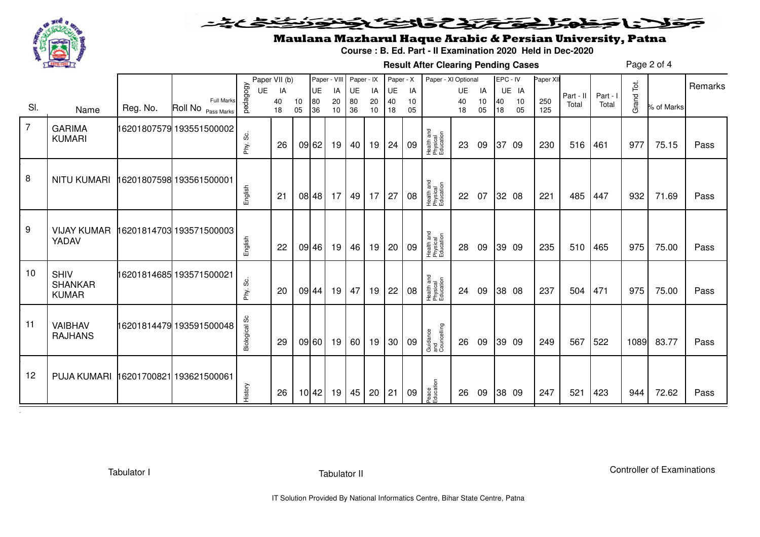

### فلانا جمط وترتيح تكافئ ليحظ 二名とき

## Maulana Mazharul Haque Arabic & Persian University, Patna

**Course : B. Ed. Part - II Examination 2020 Held in Dec-2020**

**Result After Clearing Pending Cases**

Page 2 of 4

|                |                    |          |                               |                      | Paper VII (b) |    |       | Paper - VIII |    | Paper - IX |    | Paper - X | Paper - XI Optional                 |    |    |    | EPC - IV | Paper XII |                    |                   |            |            |         |
|----------------|--------------------|----------|-------------------------------|----------------------|---------------|----|-------|--------------|----|------------|----|-----------|-------------------------------------|----|----|----|----------|-----------|--------------------|-------------------|------------|------------|---------|
|                |                    |          |                               | UE                   | IA            |    | UE    | IA           | UE | IA         | UE | IA        |                                     | UE | IA |    | UE IA    |           |                    |                   |            |            | Remarks |
| SI.            |                    | Reg. No. | Full Marks                    | pedagogy             | 40            | 10 | 80    | 20           | 80 | 20         | 40 | 10        |                                     | 40 | 10 | 40 | 10       | 250       | Part - II<br>Total | Part - I<br>Total | Grand Tot. | % of Marks |         |
|                | Name               |          | Roll No <sub>Pass Marks</sub> |                      | 18            | 05 | 36    | 10           | 36 | 10         | 18 | 05        |                                     | 18 | 05 | 18 | 05       | 125       |                    |                   |            |            |         |
| $\overline{7}$ | <b>GARIMA</b>      |          | 16201807579 193551500002      |                      |               |    |       |              |    |            |    |           |                                     |    |    |    |          |           |                    |                   |            |            |         |
|                | <b>KUMARI</b>      |          |                               | တိ<br>Phy.           | 26            |    | 09 62 | 19           | 40 | 19         | 24 | 09        | Health and<br>Physical<br>Education | 23 | 09 | 37 | -09      | 230       | 516                | 461               | 977        | 75.15      | Pass    |
|                |                    |          |                               |                      |               |    |       |              |    |            |    |           |                                     |    |    |    |          |           |                    |                   |            |            |         |
|                |                    |          |                               |                      |               |    |       |              |    |            |    |           |                                     |    |    |    |          |           |                    |                   |            |            |         |
| 8              | <b>NITU KUMARI</b> |          | 16201807598 193561500001      |                      |               |    |       |              |    |            |    |           |                                     |    |    |    |          |           |                    |                   |            |            |         |
|                |                    |          |                               | English              | 21            |    | 08 48 | 17           | 49 | 17         | 27 | 08        | Health and<br>Physical<br>Education | 22 | 07 |    | 32 08    | 221       | 485                | 447               | 932        | 71.69      | Pass    |
|                |                    |          |                               |                      |               |    |       |              |    |            |    |           |                                     |    |    |    |          |           |                    |                   |            |            |         |
| 9              | <b>VIJAY KUMAR</b> |          | 16201814703 193571500003      |                      |               |    |       |              |    |            |    |           |                                     |    |    |    |          |           |                    |                   |            |            |         |
|                | YADAV              |          |                               | English              | 22            |    | 09 46 | 19           | 46 | 19         | 20 | 09        | Health and<br>Physical<br>Education | 28 | 09 |    | 39 09    | 235       | 510                | 465               | 975        | 75.00      | Pass    |
|                |                    |          |                               |                      |               |    |       |              |    |            |    |           |                                     |    |    |    |          |           |                    |                   |            |            |         |
| 10             | <b>SHIV</b>        |          | 16201814685 193571500021      |                      |               |    |       |              |    |            |    |           |                                     |    |    |    |          |           |                    |                   |            |            |         |
|                | <b>SHANKAR</b>     |          |                               | တိ                   |               |    |       |              |    |            |    |           | Health and<br>Physical<br>Education |    |    |    |          |           |                    |                   |            |            |         |
|                | <b>KUMAR</b>       |          |                               | Phy.                 | 20            |    | 09 44 | 19           | 47 | 19         | 22 | 08        |                                     | 24 | 09 |    | 38 08    | 237       | 504                | 471               | 975        | 75.00      | Pass    |
|                |                    |          |                               |                      |               |    |       |              |    |            |    |           |                                     |    |    |    |          |           |                    |                   |            |            |         |
| 11             | <b>VAIBHAV</b>     |          | 16201814479 193591500048      |                      |               |    |       |              |    |            |    |           |                                     |    |    |    |          |           |                    |                   |            |            |         |
|                | <b>RAJHANS</b>     |          |                               | <b>Biological Sc</b> | 29            |    | 09 60 | 19           | 60 | 19         | 30 | 09        | Guidance<br>and<br>Councelling      | 26 | 09 |    | 39 09    | 249       | 567                | 522               | 1089       | 83.77      | Pass    |
|                |                    |          |                               |                      |               |    |       |              |    |            |    |           |                                     |    |    |    |          |           |                    |                   |            |            |         |
|                |                    |          |                               |                      |               |    |       |              |    |            |    |           |                                     |    |    |    |          |           |                    |                   |            |            |         |
| 12             | <b>PUJA KUMARI</b> |          | 16201700821 193621500061      |                      |               |    |       |              |    |            |    |           |                                     |    |    |    |          |           |                    |                   |            |            |         |
|                |                    |          |                               | History              | 26            |    | 10 42 | 19           | 45 | 20         | 21 | 09        | Peace<br>Education                  | 26 | 09 |    | 38 09    | 247       | 521                | 423               | 944        | 72.62      | Pass    |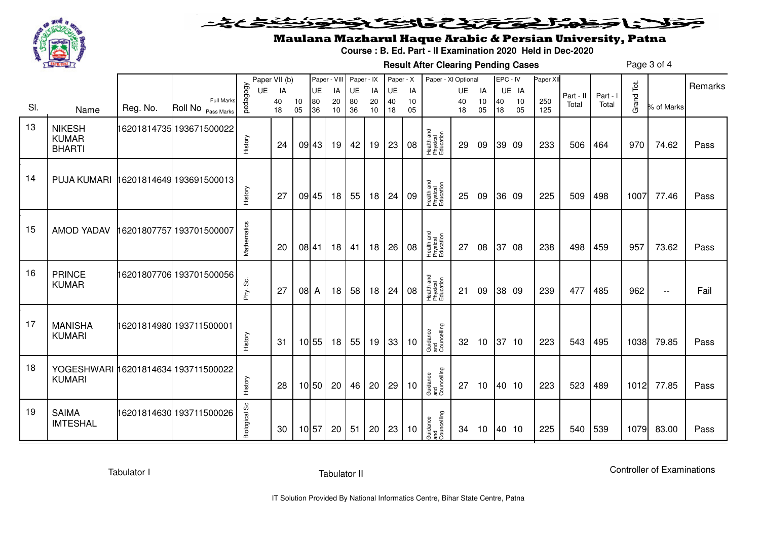

#### <u>خىخى چە ت</u> فلانا جناها يخترع والتكافون ∍

# Maulana Mazharul Haque Arabic & Persian University, Patna

**Course : B. Ed. Part - II Examination 2020 Held in Dec-2020**

**Result After Clearing Pending Cases**

Page 3 of 4

|     |                                                      |          |                                         | Paper VII (b) |          | Paper - VIII |           | Paper - IX |           | Paper - X |           | Paper - XI Optional |                                     |           | EPC - IV |          | Paper XII |            |                    |                   |            |                          |         |
|-----|------------------------------------------------------|----------|-----------------------------------------|---------------|----------|--------------|-----------|------------|-----------|-----------|-----------|---------------------|-------------------------------------|-----------|----------|----------|-----------|------------|--------------------|-------------------|------------|--------------------------|---------|
|     |                                                      |          |                                         | UE            | IA       |              | <b>UE</b> | IA         | <b>UE</b> | IA        | <b>UE</b> | IA                  |                                     | <b>UE</b> | IA       |          | UE IA     |            |                    |                   |            |                          | Remarks |
| SI. | Name                                                 | Reg. No. | <b>Full Marks</b><br>Roll No Pass Marks | pedagogy      | 40<br>18 | 10<br>05     | 80<br>36  | 20<br>10   | 80<br>36  | 20<br>10  | 40<br>18  | 10<br>05            |                                     | 40<br>18  | 10<br>05 | 40<br>18 | 10<br>05  | 250<br>125 | Part - II<br>Total | Part - I<br>Total | Grand Tot. | % of Marks               |         |
| 13  | <b>NIKESH</b><br><b>KUMAR</b><br><b>BHARTI</b>       |          | 16201814735 193671500022                | History       | 24       |              | 09 43     | 19         | 42        | 19        | 23        | 08                  | Health and<br>Physical<br>Education | 29        | 09       | 39 09    |           | 233        | 506                | 464               | 970        | 74.62                    | Pass    |
| 14  | PUJA KUMARI 16201814649 193691500013                 |          |                                         | History       | 27       |              | 09 45     | 18         | 55        | 18        | 24        | 09                  | Health and<br>Physical<br>Education | 25        | 09       |          | 36 09     | 225        | 509                | 498               | 1007       | 77.46                    | Pass    |
| 15  | AMOD YADAV                                           |          | 16201807757 193701500007                | Mathematics   | 20       |              | 08 41     | 18         | 41        | 18        | 26        | 08                  | Health and<br>Physical<br>Education | 27        | 08       | 37 08    |           | 238        | 498                | 459               | 957        | 73.62                    | Pass    |
| 16  | <b>PRINCE</b><br><b>KUMAR</b>                        |          | 16201807706 193701500056                | Phy. Sc.      | 27       | 08 A         |           | 18         | 58        | 18        | 24        | 08                  | Health and<br>Physical<br>Education | 21        | 09       | 38 09    |           | 239        | 477                | 485               | 962        | $\overline{\phantom{a}}$ | Fail    |
| 17  | <b>MANISHA</b><br><b>KUMARI</b>                      |          | 16201814980 193711500001                | History       | 31       |              | 10 55     | 18         | 55        | 19        | 33        | 10                  | Guidance<br>and<br>Councelling      | 32        | 10       | 37 10    |           | 223        | 543                | 495               | 1038       | 79.85                    | Pass    |
| 18  | YOGESHWARI 16201814634 193711500022<br><b>KUMARI</b> |          |                                         | History       | 28       |              | 10 50     | 20         | 46        | 20        | 29        | 10                  | Guidance<br>and<br>Councelling      | 27        | 10       | 40 10    |           | 223        | 523                | 489               | 1012       | 77.85                    | Pass    |
| 19  | <b>SAIMA</b><br><b>IMTESHAL</b>                      |          | 16201814630 193711500026                | Biological Sc | 30       | 10 57        |           | 20         | 51        | 20        | 23        | 10                  | Guidance<br>and<br>Councelling      | 34        | 10       | 40 10    |           | 225        | 540                | 539               | 1079       | 83.00                    | Pass    |